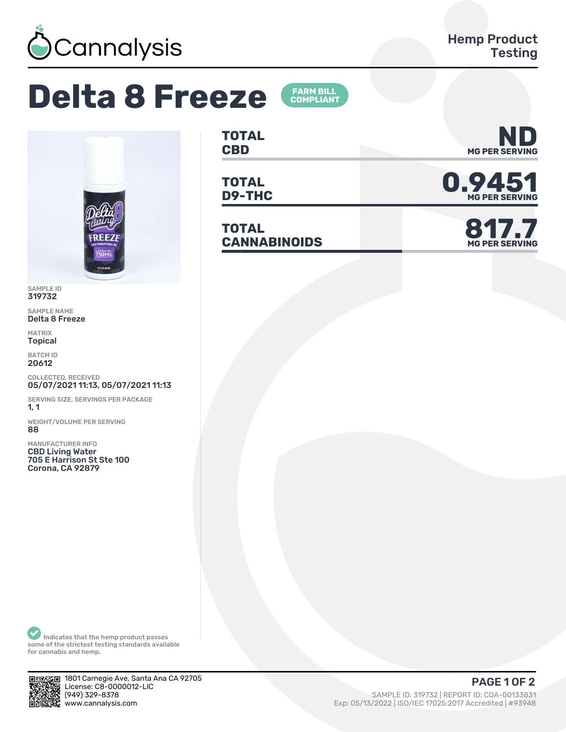

## **Delta 8 Freeze**





SAMPLE ID 319732

SAMPLE NAME Delta 8 Freeze

MATRIX Topical

BATCH ID 20612

COLLECTED, RECEIVED 05/07/2021 11:13, 05/07/2021 11:13

SERVING SIZE, SERVINGS PER PACKAGE 1, 1

WEIGHT/VOLUME PER SERVING 88

MANUFACTURER INFO CBD Living Water 705 E Harrison St Ste 100 Corona, CA 92879

**TOTAL**

**TOTAL**

**TOTAL CANNABINOIDS 817.7**







Indicates that the hemp product passes some of the strictest testing standards available for cannabis and hemp.



1801 Carnegie Ave, Santa Ana CA 92705 License: C8-0000012-LIC<br>(949) 329-8378

## PAGE 1 OF 2

(ȅȀȅ) ǿǾȅ-ȄǿȃȄ SAMPLE ID: ǿǽȅȃǿǾ | REPORT ID: COA-ǼǼǽǿǿȄǿǽ Exp: 05/13/2022 | ISO/IEC 17025:2017 Accredited | #93948